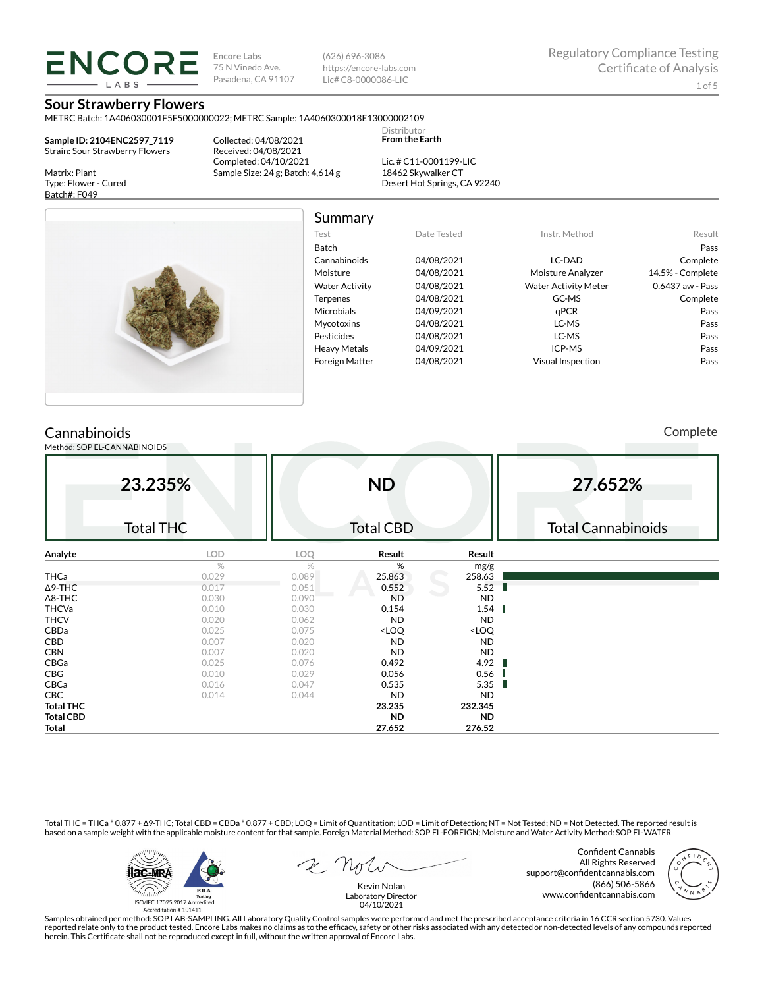**Encore Labs** 75 N Vinedo Ave. Pasadena, CA 91107 (626) 696-3086 https://encore-labs.com Lic# C8-0000086-LIC

Summary

Distributor **From the Earth**

**Sour Strawberry Flowers**

**ENCORE LARS** 

METRC Batch: 1A406030001F5F5000000022; METRC Sample: 1A4060300018E13000002109

**Sample ID: 2104ENC2597\_7119** Strain: Sour Strawberry Flowers

Matrix: Plant Type: Flower - Cured Batch#: F049

Collected: 04/08/2021 Received: 04/08/2021 Completed: 04/10/2021 Sample Size: 24 g; Batch: 4,614 g

Lic. # C11-0001199-LIC 18462 Skywalker CT Desert Hot Springs, CA 92240



| Test                  | Date Tested | Instr. Method               | Result           |
|-----------------------|-------------|-----------------------------|------------------|
| Batch                 |             |                             | Pass             |
| Cannabinoids          | 04/08/2021  | LC-DAD                      | Complete         |
| Moisture              | 04/08/2021  | Moisture Analyzer           | 14.5% - Complete |
| <b>Water Activity</b> | 04/08/2021  | <b>Water Activity Meter</b> | 0.6437 aw - Pass |
| <b>Terpenes</b>       | 04/08/2021  | GC-MS                       | Complete         |
| Microbials            | 04/09/2021  | aPCR                        | Pass             |
| <b>Mycotoxins</b>     | 04/08/2021  | LC-MS                       | Pass             |
| Pesticides            | 04/08/2021  | LC-MS                       | Pass             |
| <b>Heavy Metals</b>   | 04/09/2021  | ICP-MS                      | Pass             |
| <b>Foreign Matter</b> | 04/08/2021  | <b>Visual Inspection</b>    | Pass             |

# **Cannabinoids**

Method: SOP EL-CANNABINOIDS

Complete

| 23.235%<br><b>Total THC</b> |            | <b>ND</b><br><b>Total CBD</b> |                                                          |                              | 27.652%                   |  |  |
|-----------------------------|------------|-------------------------------|----------------------------------------------------------|------------------------------|---------------------------|--|--|
|                             |            |                               |                                                          |                              | <b>Total Cannabinoids</b> |  |  |
| Analyte                     | <b>LOD</b> | LOQ                           | Result                                                   | Result                       |                           |  |  |
|                             | $\%$       | %                             | %                                                        | mg/g                         |                           |  |  |
| <b>THCa</b>                 | 0.029      | 0.089                         | 25.863                                                   | 258.63                       |                           |  |  |
| $\Delta$ 9-THC              | 0.017      | 0.051                         | 0.552                                                    | 5.52<br>Ш                    |                           |  |  |
| $\Delta$ 8-THC              | 0.030      | 0.090                         | <b>ND</b>                                                | ND.                          |                           |  |  |
| <b>THCVa</b>                | 0.010      | 0.030                         | 0.154                                                    | 1.54                         |                           |  |  |
| <b>THCV</b>                 | 0.020      | 0.062                         | ND.                                                      | ND.                          |                           |  |  |
| CBDa                        | 0.025      | 0.075                         | <loq< td=""><td><loq< td=""><td></td></loq<></td></loq<> | <loq< td=""><td></td></loq<> |                           |  |  |
| CBD                         | 0.007      | 0.020                         | <b>ND</b>                                                | <b>ND</b>                    |                           |  |  |
| <b>CBN</b>                  | 0.007      | 0.020                         | <b>ND</b>                                                | <b>ND</b>                    |                           |  |  |
| CBGa                        | 0.025      | 0.076                         | 0.492                                                    | 4.92<br>п                    |                           |  |  |
| CBG                         | 0.010      | 0.029                         | 0.056                                                    | 0.56                         |                           |  |  |
| CBCa                        | 0.016      | 0.047                         | 0.535                                                    | 5.35<br>ш                    |                           |  |  |
| CBC                         | 0.014      | 0.044                         | <b>ND</b>                                                | <b>ND</b>                    |                           |  |  |
| <b>Total THC</b>            |            |                               | 23.235                                                   | 232.345                      |                           |  |  |
| <b>Total CBD</b>            |            |                               | ND.                                                      | <b>ND</b>                    |                           |  |  |
| Total                       |            |                               | 27.652                                                   | 276.52                       |                           |  |  |

Total THC = THCa \* 0.877 + ∆9-THC; Total CBD = CBDa \* 0.877 + CBD; LOQ = Limit of Quantitation; LOD = Limit of Detection; NT = Not Tested; ND = Not Detected. The reported result is based on a sample weight with the applicable moisture content for that sample. Foreign Material Method: SOP EL-FOREIGN; Moisture and Water Activity Method: SOP EL-WATER



Confident Cannabis All Rights Reserved support@confidentcannabis.com (866) 506-5866 www.confidentcannabis.com



Kevin Nolan Laboratory Director 04/10/2021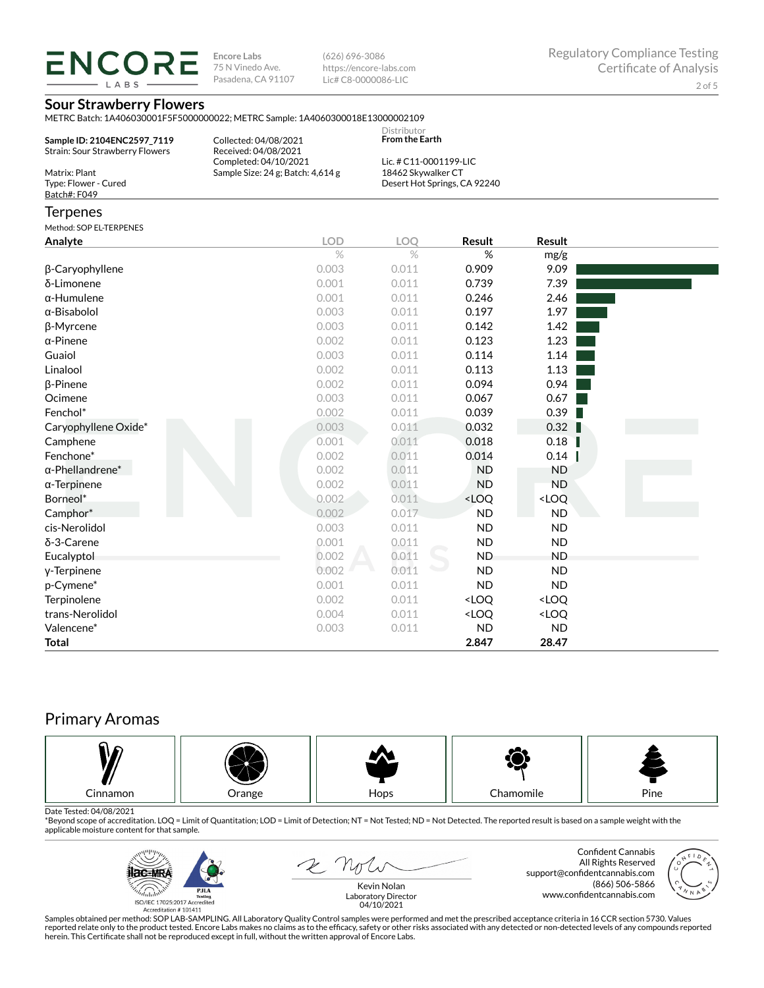LABS

**Encore Labs** 75 N Vinedo Ave. Pasadena, CA 91107

(626) 696-3086 https://encore-labs.com Lic# C8-0000086-LIC

## **Sour Strawberry Flowers**

METRC Batch: 1A406030001F5F5000000022; METRC Sample: 1A4060300018E13000002109

| Sample ID: 2104ENC2597 7119<br>Strain: Sour Strawberry Flowers | Collected: 04/08/2021<br>Received: 04/08/2021 | Distributor<br><b>From the Earth</b> |  |
|----------------------------------------------------------------|-----------------------------------------------|--------------------------------------|--|
|                                                                | Completed: 04/10/2021                         | Lic. # C11-0001199-LIC               |  |
| Matrix: Plant                                                  | Sample Size: $24$ g; Batch: $4,614$ g         | 18462 Skywalker CT                   |  |
| Type: Flower - Cured                                           |                                               | Desert Hot Springs, CA 92240         |  |
| Batch#: F049                                                   |                                               |                                      |  |

### **Terpenes**

Method: SOP EL-TERPENES

|                         |                    | LOQ   |                                                          |                              |  |
|-------------------------|--------------------|-------|----------------------------------------------------------|------------------------------|--|
| Analyte                 | <b>LOD</b><br>$\%$ | $\%$  | Result<br>%                                              | Result                       |  |
|                         |                    |       |                                                          | mg/g                         |  |
| β-Caryophyllene         | 0.003              | 0.011 | 0.909                                                    | 9.09                         |  |
| δ-Limonene              | 0.001              | 0.011 | 0.739                                                    | 7.39                         |  |
| $\alpha$ -Humulene      | 0.001              | 0.011 | 0.246                                                    | 2.46                         |  |
| α-Bisabolol             | 0.003              | 0.011 | 0.197                                                    | 1.97                         |  |
| β-Myrcene               | 0.003              | 0.011 | 0.142                                                    | 1.42                         |  |
| $\alpha$ -Pinene        | 0.002              | 0.011 | 0.123                                                    | 1.23                         |  |
| Guaiol                  | 0.003              | 0.011 | 0.114                                                    | 1.14                         |  |
| Linalool                | 0.002              | 0.011 | 0.113                                                    | 1.13                         |  |
| $\beta$ -Pinene         | 0.002              | 0.011 | 0.094                                                    | 0.94                         |  |
| Ocimene                 | 0.003              | 0.011 | 0.067                                                    | 0.67                         |  |
| Fenchol*                | 0.002              | 0.011 | 0.039                                                    | 0.39                         |  |
| Caryophyllene Oxide*    | 0.003              | 0.011 | 0.032                                                    | 0.32                         |  |
| Camphene                | 0.001              | 0.011 | 0.018                                                    | 0.18                         |  |
| Fenchone*               | 0.002              | 0.011 | 0.014                                                    | 0.14                         |  |
| $\alpha$ -Phellandrene* | 0.002              | 0.011 | <b>ND</b>                                                | <b>ND</b>                    |  |
| $\alpha$ -Terpinene     | 0.002              | 0.011 | <b>ND</b>                                                | <b>ND</b>                    |  |
| Borneol*                | 0.002              | 0.011 | <loq< td=""><td><loq< td=""><td></td></loq<></td></loq<> | <loq< td=""><td></td></loq<> |  |
| Camphor*                | 0.002              | 0.017 | <b>ND</b>                                                | <b>ND</b>                    |  |
| cis-Nerolidol           | 0.003              | 0.011 | <b>ND</b>                                                | <b>ND</b>                    |  |
| δ-3-Carene              | 0.001              | 0.011 | <b>ND</b>                                                | <b>ND</b>                    |  |
| Eucalyptol              | 0.002              | 0.011 | <b>ND</b>                                                | <b>ND</b>                    |  |
| y-Terpinene             | 0.002              | 0.011 | <b>ND</b>                                                | <b>ND</b>                    |  |
| p-Cymene*               | 0.001              | 0.011 | <b>ND</b>                                                | <b>ND</b>                    |  |
| Terpinolene             | 0.002              | 0.011 | <loq< td=""><td><loq< td=""><td></td></loq<></td></loq<> | <loq< td=""><td></td></loq<> |  |
| trans-Nerolidol         | 0.004              | 0.011 | <loq< td=""><td><loq< td=""><td></td></loq<></td></loq<> | <loq< td=""><td></td></loq<> |  |
| Valencene*              | 0.003              | 0.011 | <b>ND</b>                                                | <b>ND</b>                    |  |
| <b>Total</b>            |                    |       | 2.847                                                    | 28.47                        |  |

# Primary Aromas



Date Tested: 04/08/2021<br>\*Beyond scope of accreditation. LOQ = Limit of Quantitation; LOD = Limit of Detection; NT = Not Tested; ND = Not Detected. The reported result is based on a sample weight with the applicable moisture content for that sample.



2 not

Confident Cannabis All Rights Reserved support@confidentcannabis.com (866) 506-5866 www.confidentcannabis.com



Kevin Nolan Laboratory Director 04/10/2021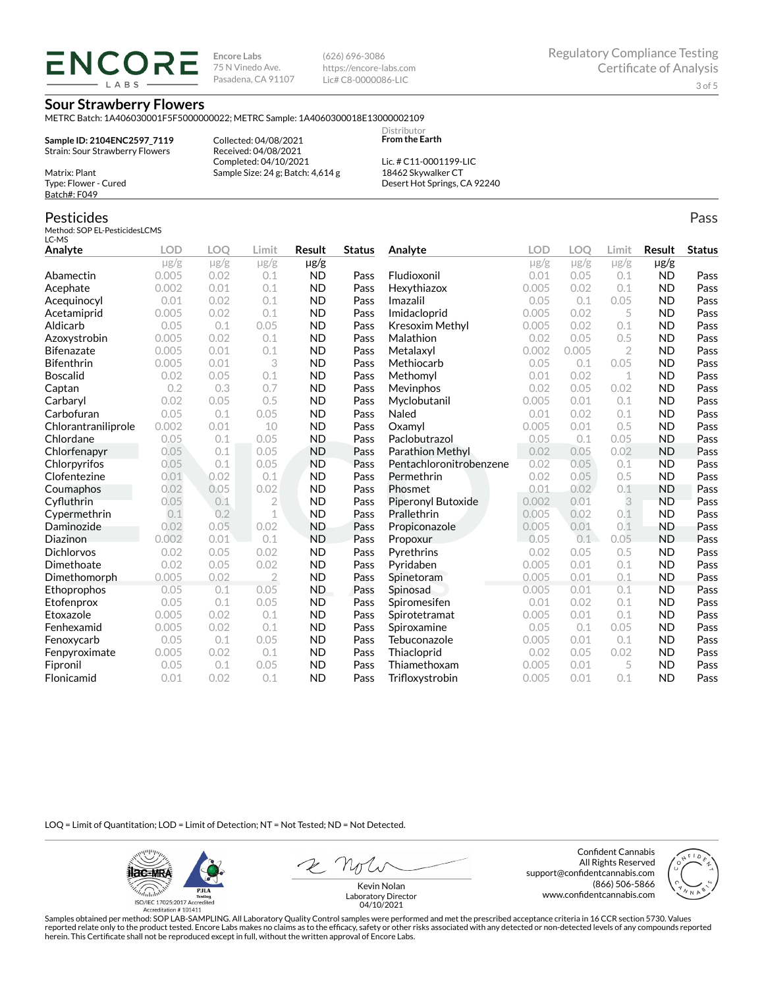ENCORE LABS

**Encore Labs** 75 N Vinedo Ave. Pasadena, CA 91107 (626) 696-3086 https://encore-labs.com Lic# C8-0000086-LIC

### **Sour Strawberry Flowers**

METRC Batch: 1A406030001F5F5000000022; METRC Sample: 1A4060300018E13000002109

**Sample ID: 2104ENC2597\_7119** Strain: Sour Strawberry Flowers

Matrix: Plant Type: Flower - Cured Batch#: F049

Collected: 04/08/2021 Received: 04/08/2021 Completed: 04/10/2021 Sample Size: 24 g; Batch: 4,614 g

Lic. # C11-0001199-LIC 18462 Skywalker CT Desert Hot Springs, CA 92240

Distributor **From the Earth**

#### Pesticides Method: SOP EL-PesticidesLCMS LC-MS **Analyte LOD LOQ Limit Result Status**  $\mu$ g/g  $\mu$ g/g  $\mu$ g/g  $\mu$ g/g Abamectin 0.005 0.02 0.1 ND Pass Acephate 0.002 0.01 0.1 ND Pass Acequinocyl 0.01 0.02 0.1 ND Pass Acetamiprid 0.005 0.02 0.1 ND Pass Aldicarb 0.05 0.1 0.05 ND Pass Azoxystrobin 0.005 0.02 0.1 ND Pass Bifenazate 0.005 0.01 0.1 ND Pass Bifenthrin 0.005 0.01 3 ND Pass Boscalid 0.02 0.05 0.1 ND Pass **Captan 12 0.2 0.3 0.7 ND Pass Carbaryl 0.02 0.05 0.5 ND Pass** Carbofuran 0.05 0.1 0.05 ND Pass Chlorantraniliprole 0.002 0.01 10 ND Pass Chlordane 0.05 0.1 0.05 ND Pass Chlorfenapyr 0.05 0.1 0.05 ND Pass Chlorpyrifos 0.05 0.1 0.05 ND Pass Clofentezine 0.01 0.02 0.1 ND Pass Coumaphos 0.02 0.05 0.02 ND Pass Cyfluthrin 0.05 0.1 2 ND Pass Cypermethrin 0.1 0.2 1 ND Pass Daminozide 0.02 0.05 0.02 ND Pass **Diazinon** 0.002 0.01 0.1 ND Pass Dichlorvos 0.02 0.05 0.02 ND Pass Dimethoate 0.02 0.05 0.02 ND Pass Dimethomorph 0.005 0.02 2 ND Pass Ethoprophos 0.05 0.1 0.05 ND Pass Etofenprox 0.05 0.1 0.05 ND Pass Etoxazole 0.005 0.02 0.1 ND Pass Fenhexamid 0.005 0.02 0.1 ND Pass Fenoxycarb 0.05 0.1 0.05 ND Pass Fenpyroximate 0.005 0.02 0.1 ND Pass Fipronil 0.05 0.1 0.05 ND Pass Flonicamid 0.01 0.02 0.1 ND Pass **Analyte LOD LOQ Limit Result Status**  $\mu$ g/g  $\mu$ g/g  $\mu$ g/g  $\mu$ g/g Fludioxonil 0.01 0.05 0.1 ND Pass Hexythiazox 0.005 0.02 0.1 ND Pass **Imazalil 11 0.05 0.1 0.05 ND Pass** Imidacloprid 0.005 0.02 5 ND Pass Kresoxim Methyl  $0.005$  0.02 0.1 ND Pass **Malathion** 0.02 0.05 0.5 **ND Pass** Metalaxyl 0.002 0.005 2 ND Pass Methiocarb 0.05 0.1 0.05 ND Pass **Methomyl** 0.01 0.02 1 **ND Pass** Mevinphos 0.02 0.05 0.02 ND Pass Myclobutanil 0.005 0.01 0.1 ND Pass **Naled 1200 0.01 0.02 0.1 ND Pass Oxamyl** 0.005 0.01 0.5 **ND Pass** Paclobutrazol 0.05 0.1 0.05 ND Pass Parathion Methyl 0.02 0.05 0.02 ND Pass Pentachloronitrobenzene 0.02 0.05 0.1 ND Pass Permethrin 0.02 0.05 0.5 ND Pass **Phosmet** 0.01 0.02 0.1 **ND Pass** Piperonyl Butoxide 0.002 0.01 3 ND Pass Prallethrin 0.005 0.02 0.1 ND Pass Propiconazole 0.005 0.01 0.1 ND Pass **Propoxur 1988 0.05 0.1 0.05 ND Pass** Pyrethrins 0.02 0.05 0.5 ND Pass **Pyridaben 1988 0.005 0.01 0.1 ND Pass Spinetoram 0.005 0.01 0.1 ND Pass** Spinosad 0.005 0.01 0.1 ND Pass Spiromesifen 0.01 0.02 0.1 ND Pass Spirotetramat 0.005 0.01 0.1 ND Pass Spiroxamine 0.05 0.1 0.05 ND Pass Tebuconazole 0.005 0.01 0.1 ND Pass Thiacloprid 0.02 0.05 0.02 ND Pass Thiamethoxam 0.005 0.01 5 ND Pass Trifloxystrobin 0.005 0.01 0.1 ND Pass

LOQ = Limit of Quantitation; LOD = Limit of Detection; NT = Not Tested; ND = Not Detected.

**ilac-MRA P.ILA** أيطيبك ISO/IEC 17025:2017 Ac

Accreditation #101411

2 Not

Confident Cannabis All Rights Reserved support@confidentcannabis.com (866) 506-5866 www.confidentcannabis.com



Kevin Nolan Laboratory Director 04/10/2021

Samples obtained per method: SOP LAB-SAMPLING. All Laboratory Quality Control samples were performed and met the prescribed acceptance criteria in 16 CCR section 5730. Values reported relate only to the product tested. Encore Labs makes no claims as to the efficacy, safety or other risks associated with any detected or non-detected levels of any compounds reported herein. This Certificate shall not be reproduced except in full, without the written approval of Encore Labs.

Pass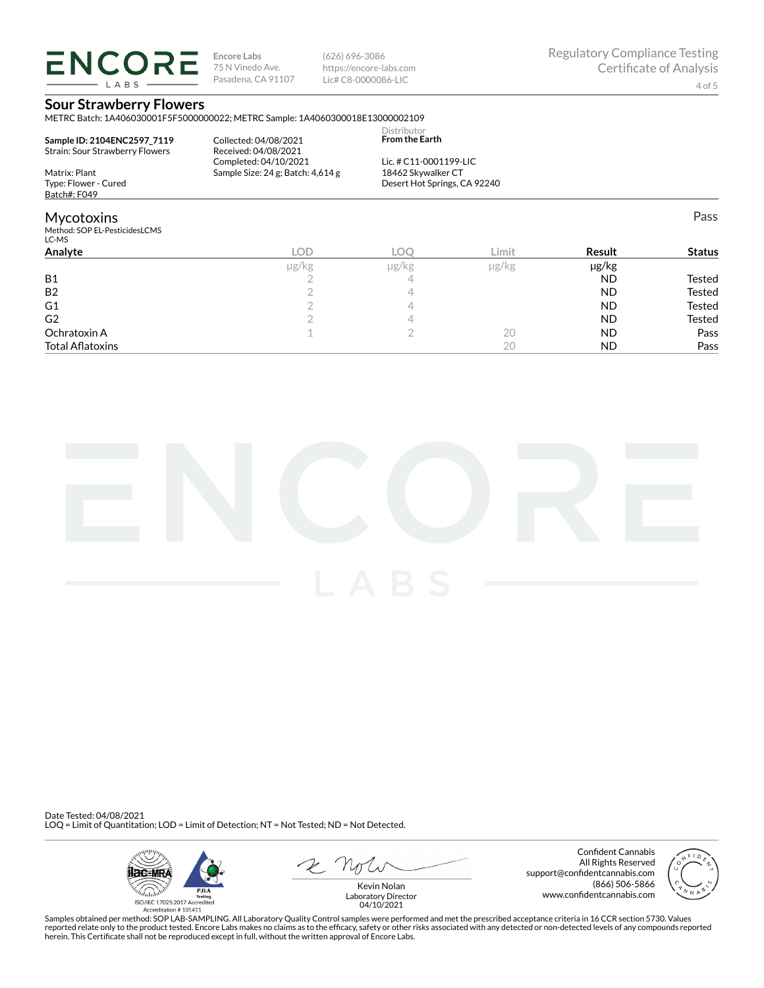**ENCORE** LABS

**Encore Labs** 75 N Vinedo Ave. Pasadena, CA 91107 (626) 696-3086 https://encore-labs.com Lic# C8-0000086-LIC

Pass

## **Sour Strawberry Flowers**

METRC Batch: 1A406030001F5F5000000022; METRC Sample: 1A4060300018E13000002109

| Sample ID: 2104ENC2597 7119<br>Strain: Sour Strawberry Flowers | Collected: 04/08/2021<br>Received: 04/08/2021 | Distributor<br><b>From the Earth</b> |
|----------------------------------------------------------------|-----------------------------------------------|--------------------------------------|
|                                                                | Completed: 04/10/2021                         | Lic. # $C11-0001199-LLC$             |
| Matrix: Plant                                                  | Sample Size: $24$ g; Batch: $4,614$ g         | 18462 Skywalker CT                   |
| Type: Flower - Cured                                           |                                               | Desert Hot Springs, CA 92240         |
| Batch#: F049                                                   |                                               |                                      |

### Mycotoxins

Method: SOP EL-PesticidesLCMS

| LC-MS                   |            |       |               |            |               |
|-------------------------|------------|-------|---------------|------------|---------------|
| Analyte                 | <b>LOD</b> | LOO   | Limit         | Result     | <b>Status</b> |
|                         | µg/kg      | µg/kg | $\mu$ g/ $kg$ | $\mu$ g/kg |               |
| <b>B1</b>               |            |       |               | <b>ND</b>  | Tested        |
| B <sub>2</sub>          |            |       |               | <b>ND</b>  | Tested        |
| G1                      |            |       |               | <b>ND</b>  | Tested        |
| G <sub>2</sub>          |            |       |               | <b>ND</b>  | Tested        |
| Ochratoxin A            |            |       | 20            | <b>ND</b>  | Pass          |
| <b>Total Aflatoxins</b> |            |       | 20            | ND.        | Pass          |
|                         |            |       |               |            |               |



Date Tested: 04/08/2021 LOQ = Limit of Quantitation; LOD = Limit of Detection; NT = Not Tested; ND = Not Detected.



Confident Cannabis All Rights Reserved support@confidentcannabis.com (866) 506-5866 www.confidentcannabis.com



Kevin Nolan Laboratory Director 04/10/2021